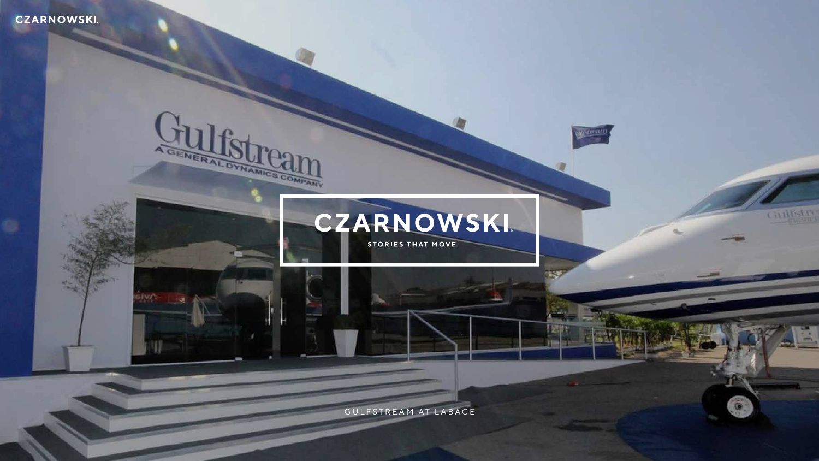# **CZARNOWSKI**



AGENERAL SURGIM

all marin

GULFSTREAM AT LABACE



O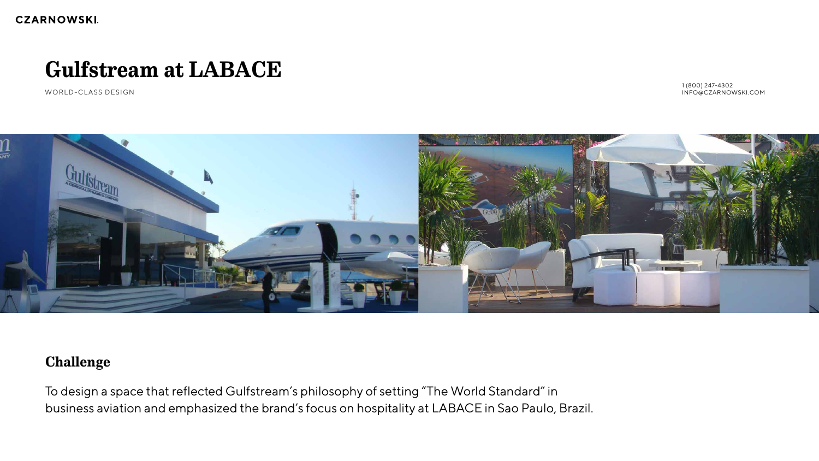# **Challenge**

To design a space that reflected Gulfstream's philosophy of setting "The World Standard" in business aviation and emphasized the brand's focus on hospitality at LABACE in Sao Paulo, Brazil.

# **Gulfstream at LABACE**

WORLD-CLASS DESIGN



1 (800) 247-4302 INFO@CZARNOWSKI.COM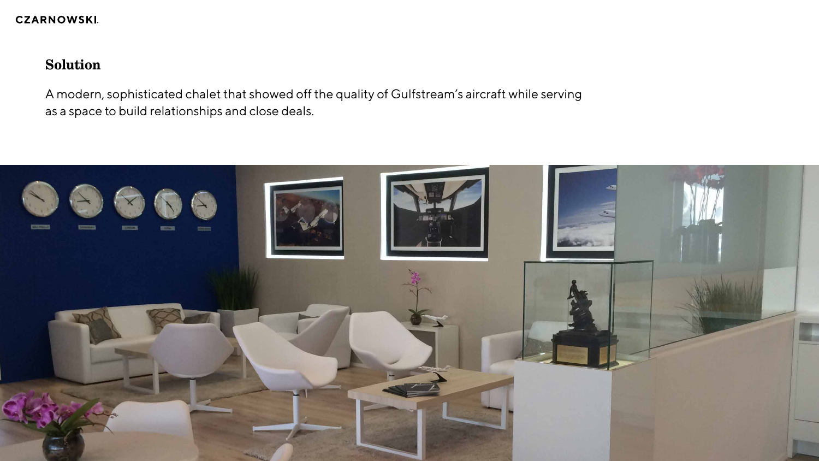**CZARNOWSKI.** 

# **Solution**

A modern, sophisticated chalet that showed off the quality of Gulfstream's aircraft while serving as a space to build relationships and close deals.

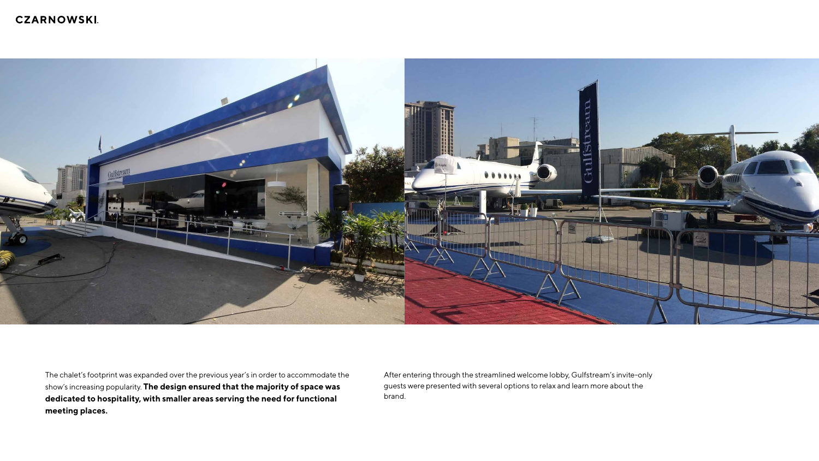## **CZARNOWSKI.**



The chalet's footprint was expanded over the previous year's in order to accommodate the show's increasing popularity. **The design ensured that the majority of space was dedicated to hospitality, with smaller areas serving the need for functional meeting places.** 

After entering through the streamlined welcome lobby, Gulfstream's invite-only guests were presented with several options to relax and learn more about the brand.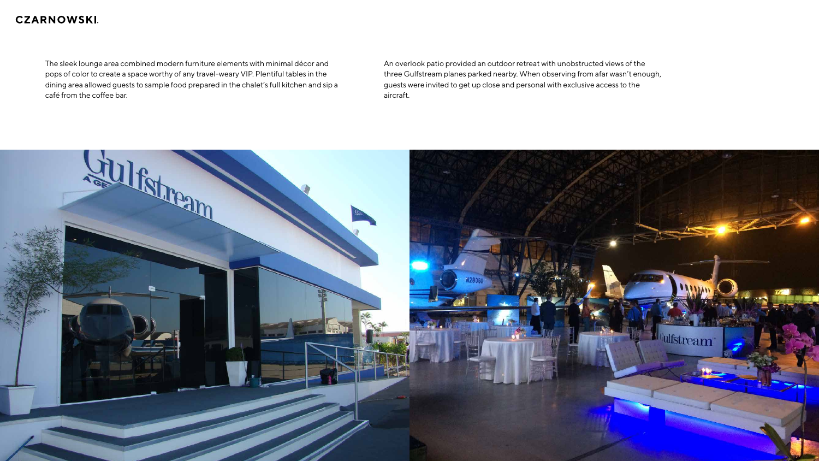## **CZARNOWSKI**.

The sleek lounge area combined modern furniture elements with minimal décor and pops of color to create a space worthy of any travel-weary VIP. Plentiful tables in the dining area allowed guests to sample food prepared in the chalet's full kitchen and sip a café from the coffee bar.



An overlook patio provided an outdoor retreat with unobstructed views of the three Gulfstream planes parked nearby. When observing from afar wasn't enough, guests were invited to get up close and personal with exclusive access to the aircraft.